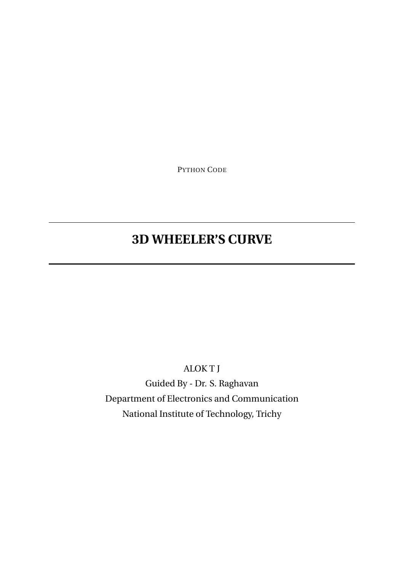PYTHON CODE

# **3D WHEELER'S CURVE**

ALOK T J

Guided By - Dr. S. Raghavan Department of Electronics and Communication National Institute of Technology, Trichy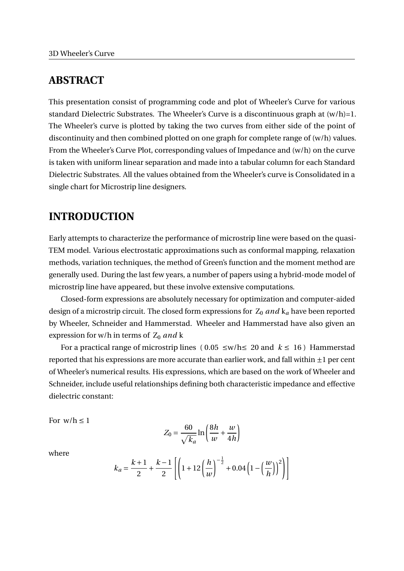### **ABSTRACT**

This presentation consist of programming code and plot of Wheeler's Curve for various standard Dielectric Substrates. The Wheeler's Curve is a discontinuous graph at  $(w/h)=1$ . The Wheeler's curve is plotted by taking the two curves from either side of the point of discontinuity and then combined plotted on one graph for complete range of (w/h) values. From the Wheeler's Curve Plot, corresponding values of Impedance and (w/h) on the curve is taken with uniform linear separation and made into a tabular column for each Standard Dielectric Substrates. All the values obtained from the Wheeler's curve is Consolidated in a single chart for Microstrip line designers.

### **INTRODUCTION**

Early attempts to characterize the performance of microstrip line were based on the quasi-TEM model. Various electrostatic approximations such as conformal mapping, relaxation methods, variation techniques, the method of Green's function and the moment method are generally used. During the last few years, a number of papers using a hybrid-mode model of microstrip line have appeared, but these involve extensive computations.

Closed-form expressions are absolutely necessary for optimization and computer-aided design of a microstrip circuit. The closed form expressions for  $Z_0$  *and*  $k_a$  have been reported by Wheeler, Schneider and Hammerstad. Wheeler and Hammerstad have also given an expression for w/h in terms of Z<sub>0</sub> and k

For a practical range of microstrip lines ( $0.05 ≤w/h ≤ 20$  and  $k ≤ 16$ ) Hammerstad reported that his expressions are more accurate than earlier work, and fall within  $\pm 1$  per cent of Wheeler's numerical results. His expressions, which are based on the work of Wheeler and Schneider, include useful relationships defining both characteristic impedance and effective dielectric constant:

For  $w/h < 1$ 

$$
Z_0 = \frac{60}{\sqrt{k_a}} \ln\left(\frac{8h}{w} + \frac{w}{4h}\right)
$$

where

$$
k_a = \frac{k+1}{2} + \frac{k-1}{2} \left[ \left( 1 + 12 \left( \frac{h}{w} \right)^{-\frac{1}{2}} + 0.04 \left( 1 - \left( \frac{w}{h} \right) \right)^2 \right) \right]
$$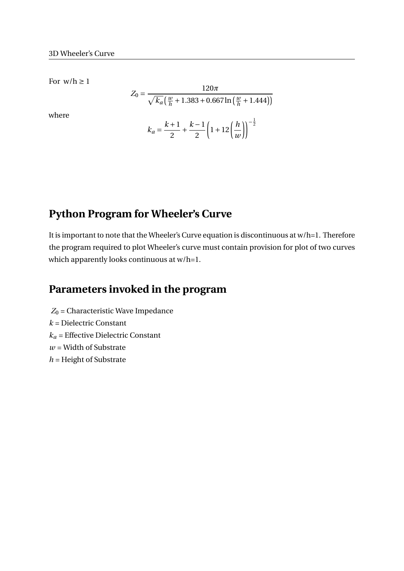For  $w/h \geq 1$ 

where

$$
Z_0 = \frac{120\pi}{\sqrt{k_a} \left(\frac{w}{h} + 1.383 + 0.667 \ln\left(\frac{w}{h} + 1.444\right)\right)}
$$

$$
k_a = \frac{k+1}{2} + \frac{k-1}{2} \left(1 + 12\left(\frac{h}{w}\right)\right)^{-\frac{1}{2}}
$$

### **Python Program for Wheeler's Curve**

It is important to note that the Wheeler's Curve equation is discontinuous at w/h=1. Therefore the program required to plot Wheeler's curve must contain provision for plot of two curves which apparently looks continuous at w/h=1.

### **Parameters invoked in the program**

 $Z_0$  = Characteristic Wave Impedance *k* = Dielectric Constant *k<sup>a</sup>* = Effective Dielectric Constant  $w =$  Width of Substrate *h* = Height of Substrate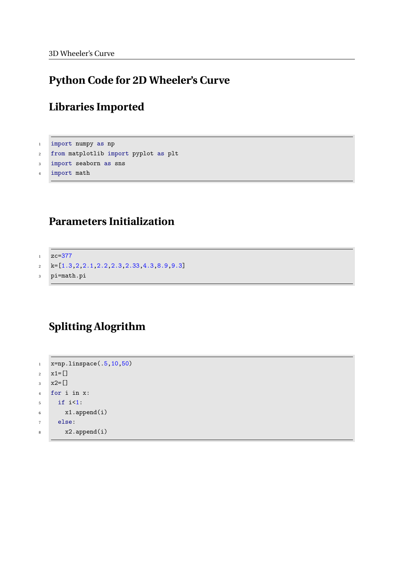## **Python Code for 2D Wheeler's Curve**

### **Libraries Imported**

 import numpy as np from matplotlib import pyplot as plt import seaborn as sns import math

### **Parameters Initialization**

```
1 zc=377
2 k=[1.3,2,2.1,2.2,2.3,2.33,4.3,8.9,9.3]
3 pi=math.pi
```
# **Splitting Alogrithm**

```
1 x=np.linspace(.5,10,50)
2 x1=[]
x^2 = 74 for i in x:
5 if i<1:
6 x1.append(i)
7 else:
8 x2.append(i)
```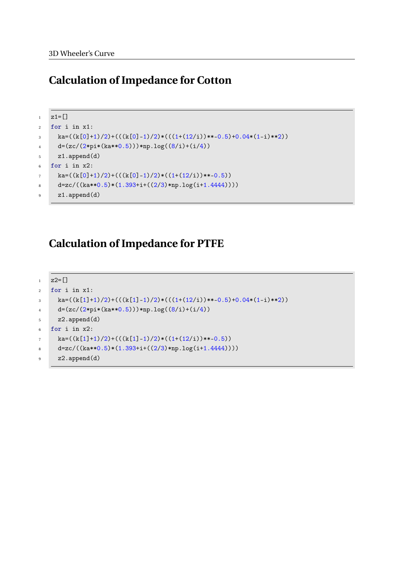### **Calculation of Impedance for Cotton**

```
1 \quad z1 = \lceil]
2 for i in x1:
\text{ka}=(\text{k}[0]+1)/2)+((\text{k}[0]-1)/2)*(((1+(12/i))**-0.5)+0.04*(1-i)*2))d=(zc/(2*pi*(ka**0.5))) * np.log((8/i)+(i/4))5 z1.append(d)
6 for i in x2:
k = ((k[0]+1)/2) + ((k[0]-1)/2) * ((1+(12/i)) **0.5))8 d=zc/((ka**0.5)*(1.393+i+((2/3)*np.log(i+1.4444))))
9 z1.append(d)
```
### **Calculation of Impedance for PTFE**

```
1 \quad z2 = 12 for i in x1:
k = ((k[1]+1)/2) + ((k[1]-1)/2) * (((1+(12/i)) **-0.5)+0.04*(1-i) **2))d = (zc/(2*pi*(ka**0.5))) * np.log((8/i)+(i/4))5 \qquad z2.append(d)6 for i in x2:
k = ((k[1]+1)/2) + ((k[1]-1)/2) * ((1+(12/i)) **0.5))8 d=zc/((ka**0.5)*(1.393+i+((2/3)*np.log(i+1.4444))))
9 z2.append(d)
```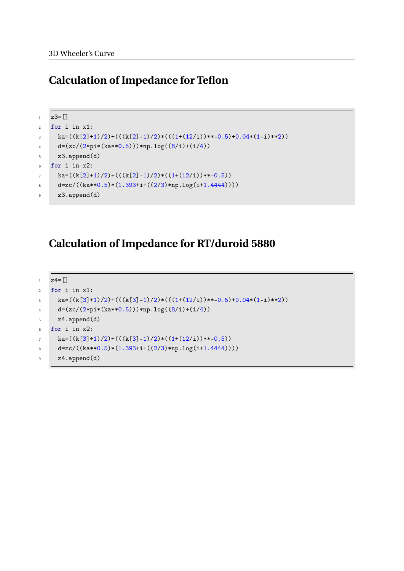### **Calculation of Impedance for Teflon**

```
1 \quad z3 = [1]2 for i in x1:
\text{ka}=(\text{k}[2]+1)/2)+((\text{k}[2]-1)/2)*(((1+(12/1))**-0.5)+0.04*(1-i)**2))d=(zc/(2*pi*(ka**0.5))) * np.log((8/i)+(i/4))5 z3.append(d)
6 for i in x2:
k = ((k[2]+1)/2) + ((k[2]-1)/2) * ((1+(12/i)) **0.5))8 d=zc/((ka**0.5)*(1.393+i+((2/3)*np.log(i+1.4444))))
9 z3.append(d)
```
# **Calculation of Impedance for RT/duroid 5880**

```
1 \quad z = 12 for i in x1:
k = ((k[3]+1)/2) + ((k[3]-1)/2) * (((1+(12/i)) **-0.5)+0.04*(1-i) **2))d = (zc/(2*pi*(ka**0.5))) * np.log((8/i)+(i/4))5 \qquad z4.append(d)6 for i in x2:
k = ((k[3]+1)/2) + ((k[3]-1)/2) * ((1+(12/i)) **0.5))8 d=zc/((ka**0.5)*(1.393+i+((2/3)*np.log(i+1.4444))))
9 z4.append(d)
```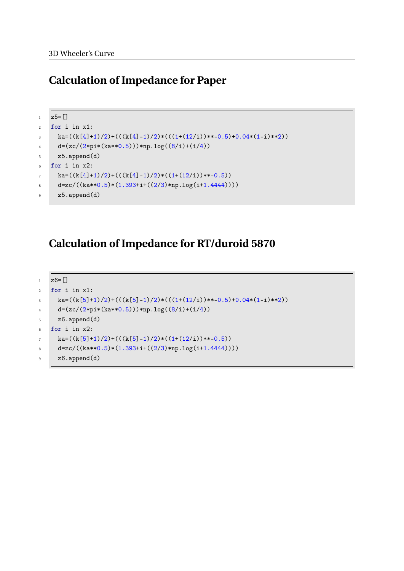### **Calculation of Impedance for Paper**

```
1 \quad z5 = [1]2 for i in x1:
\text{ka}=(\text{k}[4]+1)/2)+((\text{k}[4]-1)/2)*(((1+(12/i))**-0.5)+0.04*(1-i)*2))d=(zc/(2*pi*(ka**0.5))) * np.log((8/i)+(i/4))5 z5.append(d)
6 for i in x2:
k = ((k[4]+1)/2) + ((k[4]-1)/2) * ((1+(12/i)) **0.5))8 d=zc/((ka**0.5)*(1.393+i+((2/3)*np.log(i+1.4444))))
9 z5.append(d)
```
# **Calculation of Impedance for RT/duroid 5870**

```
1 \quad z6 = 12 for i in x1:
k = ((k[5]+1)/2) + ((k[5]-1)/2) * (((1+(12/i)) **-0.5)+0.04*(1-i) **2))d = (zc/(2*pi*(ka**0.5))) * np.log((8/i)+(i/4))5 \qquad \qquad z6.\text{append}(d)6 for i in x2:
k = ((k[5]+1)/2) + ((k[5]-1)/2) * ((1+(12/i)) **0.5))8 d=zc/((ka**0.5)*(1.393+i+((2/3)*np.log(i+1.4444))))
9 z6.append(d)
```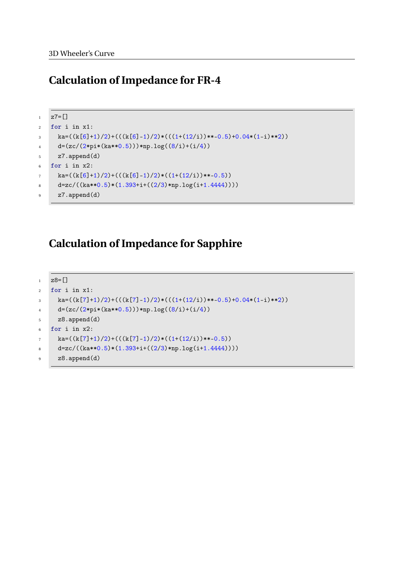### **Calculation of Impedance for FR-4**

```
1 \quad z7 = [1]2 for i in x1:
\text{ka}=(\text{k}[6]+1)/2)+((\text{k}[6]-1)/2)*(((1+(12/1))**-0.5)+0.04*(1-i)**2))d=(zc/(2*pi*(ka**0.5))) * np.log((8/i)+(i/4))5 z7.append(d)
6 for i in x2:
k = ((k[6]+1)/2) + ((k[6]-1)/2) * ((1+(12/i)) **0.5))8 d=zc/((ka**0.5)*(1.393+i+((2/3)*np.log(i+1.4444))))
9 z7.append(d)
```
### **Calculation of Impedance for Sapphire**

```
1 \quad z8 = 12 for i in x1:
k = ((k[7]+1)/2) + ((k[7]-1)/2) * (((1+(12/i))**-0.5)+0.04*(1-i)*2))d = (zc/(2*pi*(ka**0.5))) * np.log((8/i)+(i/4))5 \qquad \qquad z8.\text{append}(d)6 for i in x2:
k = ((k[7]+1)/2) + ((k[7]-1)/2) * ((1+(12/i)) **0.5))8 d=zc/((ka**0.5)*(1.393+i+((2/3)*np.log(i+1.4444))))
9 z8.append(d)
```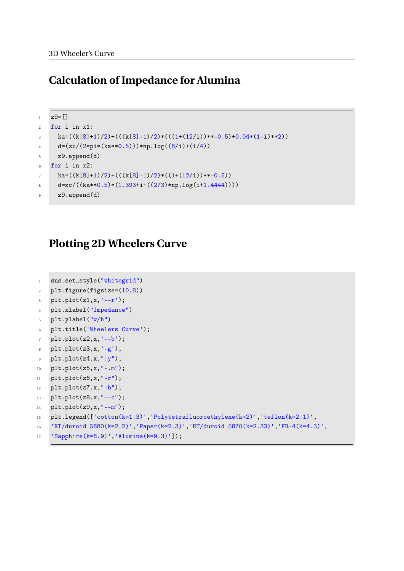### **Calculation of Impedance for Alumina**

```
1 \times 9 = 12 for i in x1:
\text{ka}=(k[8]+1)/2)+(((k[8]-1)/2)*(((1+(12/i))**-0.5)+0.04*(1-i)**2))d=(zc/(2*pi*(ka**0.5)))*np.log((8/i)+(i/4))5 z9.append(d)
6 for i in x2:
k = ((k[8]+1)/2) + ((k[8]-1)/2) * ((1+(12/i)) **0.5))8 d=zc/((ka**0.5)*(1.393+i+((2/3)*np.log(i+1.4444))))
9 z9.append(d)
```
### **Plotting 2D Wheelers Curve**

```
1 sns.set_style("whitegrid")
2 plt.figure(figsize=(10,8))
3 plt.plot(z1,x,'--r');
4 plt.xlabel("Impedance")
5 plt.ylabel("w/h")
6 plt.title('Wheelers Curve');
7 plt.plot(z2,x,'--b');
8 plt.plot(z3,x,'-g');
9 plt.plot(z4,x,":y");
10 plt.plot(z5,x,"-.m");
11 plt.plot(z6,x,"-r");
12 plt.plot(z7,x,"-b");
13 plt.plot(z8, x, "--c");
14 plt.plot(z9,x,"--m");
15 plt.legend(['cotton(k=1.3)','Polytetrafluoroethylene(k=2)','teflon(k=2.1)',
16 'RT/duroid 5880(k=2.2)','Paper(k=2.3)','RT/duroid 5870(k=2.33)','FR-4(k=4.3)',
17 'Sapphire(k=8.9)','Alumina(k=9.3)']);
```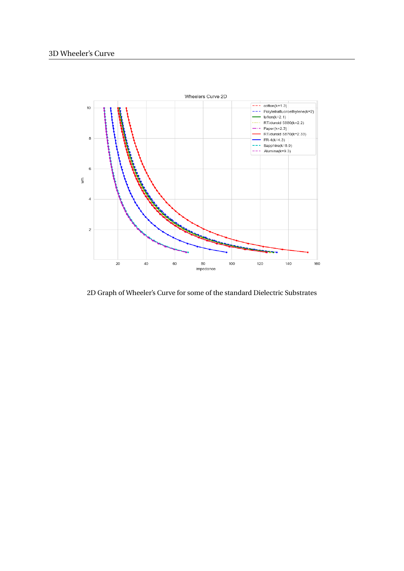

2D Graph of Wheeler's Curve for some of the standard Dielectric Substrates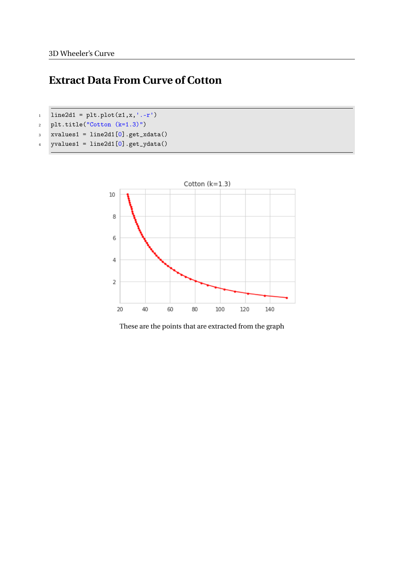# **Extract Data From Curve of Cotton**

- 1 line2d1 =  $plt.plot(z1, x, '.-r')$
- <sup>2</sup> plt.title("Cotton (k=1.3)")
- $3$  xvalues1 = line2d1 $[0]$ .get\_xdata()
- 4 yvalues1 =  $line2d1[0].get_ydata()$



These are the points that are extracted from the graph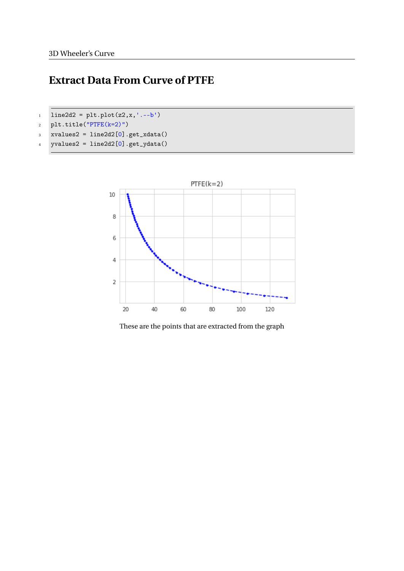# **Extract Data From Curve of PTFE**

- $1 \text{ line} 2d2 = \text{plt.plot}(z2, x, '--b')$
- <sup>2</sup> plt.title("PTFE(k=2)")
- $3$  xvalues2 = line2d2 $[0]$ .get\_xdata()
- $4$  yvalues2 = line2d2[0].get\_ydata()



These are the points that are extracted from the graph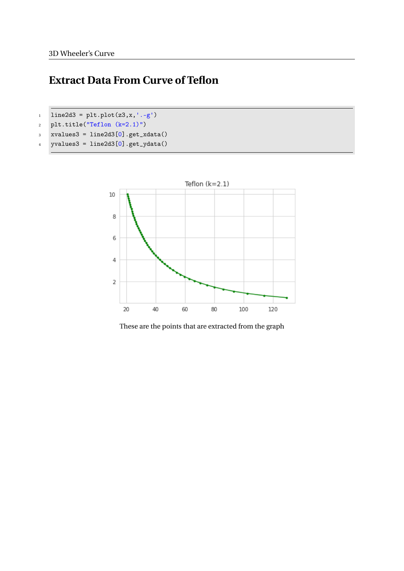# **Extract Data From Curve of Teflon**

- 1 line2d3 =  $plt.plot(z3, x, ', -g')$
- <sup>2</sup> plt.title("Teflon (k=2.1)")
- $3$  xvalues3 = line2d3 $[0]$ .get\_xdata()
- $4$  yvalues3 = line2d3[0].get\_ydata()



These are the points that are extracted from the graph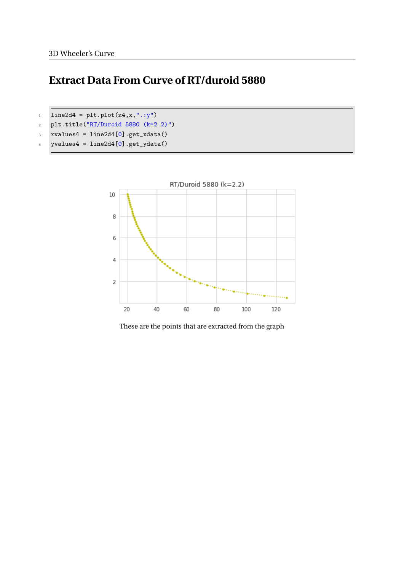# **Extract Data From Curve of RT/duroid 5880**

```
1 \text{ line}2d4 = \text{plt.plot}(z4, x, ".:y")
```
- <sup>2</sup> plt.title("RT/Duroid 5880 (k=2.2)")
- $3$  xvalues4 = line2d4 $[0]$ .get\_xdata()
- $4$  yvalues $4 = line2d4[0].get_ydata()$



These are the points that are extracted from the graph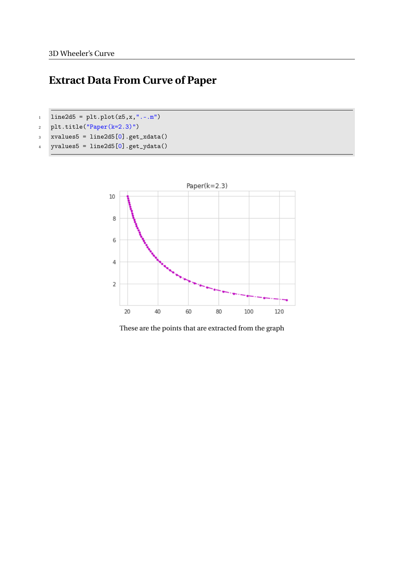# **Extract Data From Curve of Paper**

- 1 line2d5 =  $plt.plot(z5, x, "......m")$
- $p1t.title("Paper (k=2.3)")$
- $3$  xvalues $5 = line2d5[0]$ .get\_xdata()
- $4$  yvalues $5 = line2d5[0].get_ydata()$



These are the points that are extracted from the graph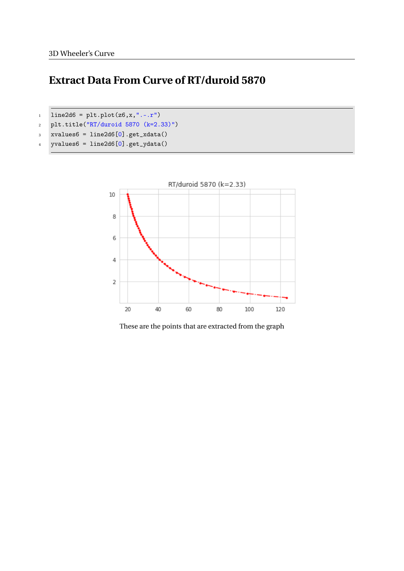## **Extract Data From Curve of RT/duroid 5870**

- 1 line2d6 =  $plt.plot(z6, x, "-..r")$
- <sup>2</sup> plt.title("RT/duroid 5870 (k=2.33)")
- $3$  xvalues $6 = line2d6[0]$ .get\_xdata()
- $4$  yvalues $6 = line2d6[0].get_ydata()$



These are the points that are extracted from the graph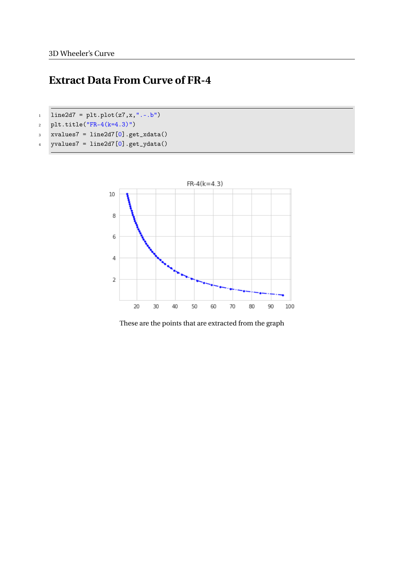# **Extract Data From Curve of FR-4**

- $1 \text{ line} 2d7 = \text{plt.plot}(z7, x, ".-.b")$
- 2  $p1t.title("FR-4(k=4.3)")$
- $3$  xvalues7 = line2d7 $[0]$ .get\_xdata()
- $4$  yvalues $7 = line2d7[0].get_ydata()$



These are the points that are extracted from the graph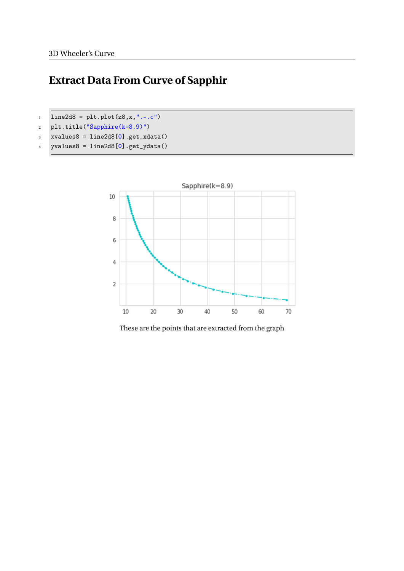# **Extract Data From Curve of Sapphir**

- $1 \quad$  line2d8 = plt.plot(z8,x,".-.c")
- <sup>2</sup> plt.title("Sapphire(k=8.9)")
- $3$  xvalues $8 = line2d8[0]$ .get\_xdata()
- $4$  yvalues $8 = line2d8[0]$ .get\_ydata()



These are the points that are extracted from the graph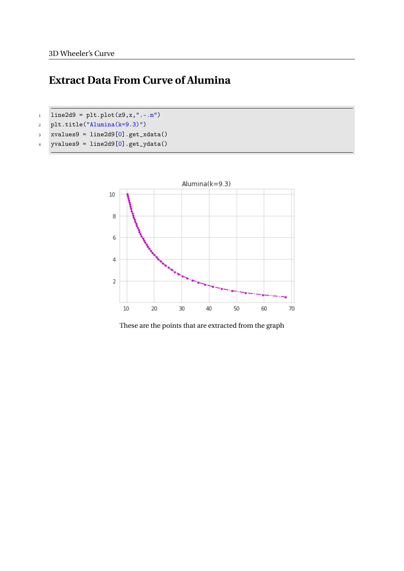# **Extract Data From Curve of Alumina**

- $1 \text{ line}$ 2d9 = plt.plot(z9,x,".-.m")
- <sup>2</sup> plt.title("Alumina(k=9.3)")
- $3$  xvalues9 = line2d9 $[0]$ .get\_xdata()
- $4$  yvalues $9 = line2d9[0].get_ydata()$



These are the points that are extracted from the graph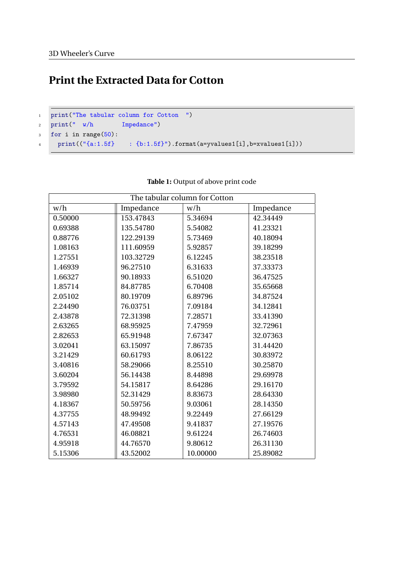# **Print the Extracted Data for Cotton**

```
1 print("The tabular column for Cotton ")
2 print(" w/h Impedance")
3 for i in range(50):
```

```
4 print(("{a:1.5f} : {b:1.5f}").format(a=yvalues1[i],b=xvalues1[i]))
```

| The tabular column for Cotton |           |          |           |  |
|-------------------------------|-----------|----------|-----------|--|
| w/h                           | Impedance | w/h      | Impedance |  |
| 0.50000                       | 153.47843 | 5.34694  | 42.34449  |  |
| 0.69388                       | 135.54780 | 5.54082  | 41.23321  |  |
| 0.88776                       | 122.29139 | 5.73469  | 40.18094  |  |
| 1.08163                       | 111.60959 | 5.92857  | 39.18299  |  |
| 1.27551                       | 103.32729 | 6.12245  | 38.23518  |  |
| 1.46939                       | 96.27510  | 6.31633  | 37.33373  |  |
| 1.66327                       | 90.18933  | 6.51020  | 36.47525  |  |
| 1.85714                       | 84.87785  | 6.70408  | 35.65668  |  |
| 2.05102                       | 80.19709  | 6.89796  | 34.87524  |  |
| 2.24490                       | 76.03751  | 7.09184  | 34.12841  |  |
| 2.43878                       | 72.31398  | 7.28571  | 33.41390  |  |
| 2.63265                       | 68.95925  | 7.47959  | 32.72961  |  |
| 2.82653                       | 65.91948  | 7.67347  | 32.07363  |  |
| 3.02041                       | 63.15097  | 7.86735  | 31.44420  |  |
| 3.21429                       | 60.61793  | 8.06122  | 30.83972  |  |
| 3.40816                       | 58.29066  | 8.25510  | 30.25870  |  |
| 3.60204                       | 56.14438  | 8.44898  | 29.69978  |  |
| 3.79592                       | 54.15817  | 8.64286  | 29.16170  |  |
| 3.98980                       | 52.31429  | 8.83673  | 28.64330  |  |
| 4.18367                       | 50.59756  | 9.03061  | 28.14350  |  |
| 4.37755                       | 48.99492  | 9.22449  | 27.66129  |  |
| 4.57143                       | 47.49508  | 9.41837  | 27.19576  |  |
| 4.76531                       | 46.08821  | 9.61224  | 26.74603  |  |
| 4.95918                       | 44.76570  | 9.80612  | 26.31130  |  |
| 5.15306                       | 43.52002  | 10.00000 | 25.89082  |  |

#### **Table 1:** Output of above print code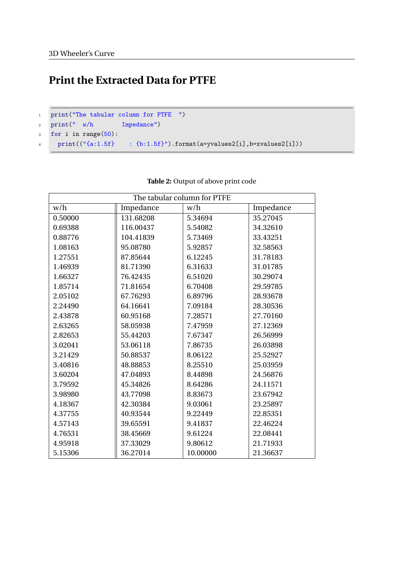# **Print the Extracted Data for PTFE**

```
1 print("The tabular column for PTFE ")
2 print(" w/h Impedance")
```

```
3 for i in range(50):
```

```
4 print(("{a:1.5f} : {b:1.5f}").format(a=yvalues2[i],b=xvalues2[i]))
```

| The tabular column for PTFE |           |          |           |  |
|-----------------------------|-----------|----------|-----------|--|
| w/h                         | Impedance | w/h      | Impedance |  |
| 0.50000                     | 131.68208 | 5.34694  | 35.27045  |  |
| 0.69388                     | 116.00437 | 5.54082  | 34.32610  |  |
| 0.88776                     | 104.41839 | 5.73469  | 33.43251  |  |
| 1.08163                     | 95.08780  | 5.92857  | 32.58563  |  |
| 1.27551                     | 87.85644  | 6.12245  | 31.78183  |  |
| 1.46939                     | 81.71390  | 6.31633  | 31.01785  |  |
| 1.66327                     | 76.42435  | 6.51020  | 30.29074  |  |
| 1.85714                     | 71.81654  | 6.70408  | 29.59785  |  |
| 2.05102                     | 67.76293  | 6.89796  | 28.93678  |  |
| 2.24490                     | 64.16641  | 7.09184  | 28.30536  |  |
| 2.43878                     | 60.95168  | 7.28571  | 27.70160  |  |
| 2.63265                     | 58.05938  | 7.47959  | 27.12369  |  |
| 2.82653                     | 55.44203  | 7.67347  | 26.56999  |  |
| 3.02041                     | 53.06118  | 7.86735  | 26.03898  |  |
| 3.21429                     | 50.88537  | 8.06122  | 25.52927  |  |
| 3.40816                     | 48.88853  | 8.25510  | 25.03959  |  |
| 3.60204                     | 47.04893  | 8.44898  | 24.56876  |  |
| 3.79592                     | 45.34826  | 8.64286  | 24.11571  |  |
| 3.98980                     | 43.77098  | 8.83673  | 23.67942  |  |
| 4.18367                     | 42.30384  | 9.03061  | 23.25897  |  |
| 4.37755                     | 40.93544  | 9.22449  | 22.85351  |  |
| 4.57143                     | 39.65591  | 9.41837  | 22.46224  |  |
| 4.76531                     | 38.45669  | 9.61224  | 22.08441  |  |
| 4.95918                     | 37.33029  | 9.80612  | 21.71933  |  |
| 5.15306                     | 36.27014  | 10.00000 | 21.36637  |  |

#### **Table 2:** Output of above print code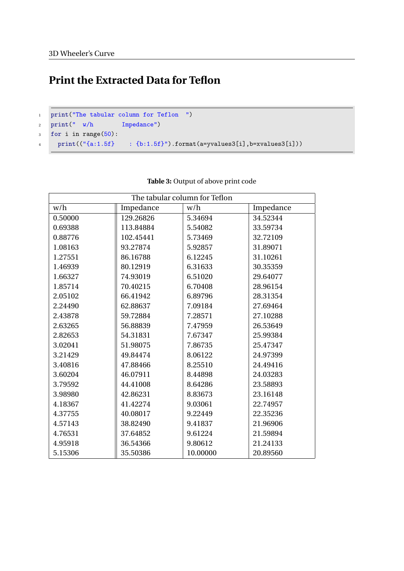# **Print the Extracted Data for Teflon**

```
1 print("The tabular column for Teflon ")
2 print(" w/h Impedance")
```

```
3 for i in range(50):
```

```
4 print(("{a:1.5f} : {b:1.5f}").format(a=yvalues3[i],b=xvalues3[i]))
```

| The tabular column for Teflon |           |          |           |  |
|-------------------------------|-----------|----------|-----------|--|
| w/h                           | Impedance | w/h      | Impedance |  |
| 0.50000                       | 129.26826 | 5.34694  | 34.52344  |  |
| 0.69388                       | 113.84884 | 5.54082  | 33.59734  |  |
| 0.88776                       | 102.45441 | 5.73469  | 32.72109  |  |
| 1.08163                       | 93.27874  | 5.92857  | 31.89071  |  |
| 1.27551                       | 86.16788  | 6.12245  | 31.10261  |  |
| 1.46939                       | 80.12919  | 6.31633  | 30.35359  |  |
| 1.66327                       | 74.93019  | 6.51020  | 29.64077  |  |
| 1.85714                       | 70.40215  | 6.70408  | 28.96154  |  |
| 2.05102                       | 66.41942  | 6.89796  | 28.31354  |  |
| 2.24490                       | 62.88637  | 7.09184  | 27.69464  |  |
| 2.43878                       | 59.72884  | 7.28571  | 27.10288  |  |
| 2.63265                       | 56.88839  | 7.47959  | 26.53649  |  |
| 2.82653                       | 54.31831  | 7.67347  | 25.99384  |  |
| 3.02041                       | 51.98075  | 7.86735  | 25.47347  |  |
| 3.21429                       | 49.84474  | 8.06122  | 24.97399  |  |
| 3.40816                       | 47.88466  | 8.25510  | 24.49416  |  |
| 3.60204                       | 46.07911  | 8.44898  | 24.03283  |  |
| 3.79592                       | 44.41008  | 8.64286  | 23.58893  |  |
| 3.98980                       | 42.86231  | 8.83673  | 23.16148  |  |
| 4.18367                       | 41.42274  | 9.03061  | 22.74957  |  |
| 4.37755                       | 40.08017  | 9.22449  | 22.35236  |  |
| 4.57143                       | 38.82490  | 9.41837  | 21.96906  |  |
| 4.76531                       | 37.64852  | 9.61224  | 21.59894  |  |
| 4.95918                       | 36.54366  | 9.80612  | 21.24133  |  |
| 5.15306                       | 35.50386  | 10.00000 | 20.89560  |  |

#### **Table 3:** Output of above print code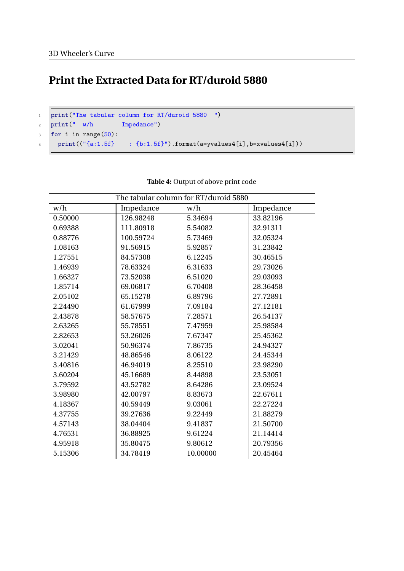# **Print the Extracted Data for RT/duroid 5880**

```
1 print("The tabular column for RT/duroid 5880 ")
2 print(" w/h Impedance")
3 for i in range(50):
4 print(("{a:1.5f} : {b:1.5f}").format(a=yvalues4[i],b=xvalues4[i]))
```

| The tabular column for RT/duroid 5880 |           |          |           |  |
|---------------------------------------|-----------|----------|-----------|--|
| w/h                                   | Impedance | w/h      | Impedance |  |
| 0.50000                               | 126.98248 | 5.34694  | 33.82196  |  |
| 0.69388                               | 111.80918 | 5.54082  | 32.91311  |  |
| 0.88776                               | 100.59724 | 5.73469  | 32.05324  |  |
| 1.08163                               | 91.56915  | 5.92857  | 31.23842  |  |
| 1.27551                               | 84.57308  | 6.12245  | 30.46515  |  |
| 1.46939                               | 78.63324  | 6.31633  | 29.73026  |  |
| 1.66327                               | 73.52038  | 6.51020  | 29.03093  |  |
| 1.85714                               | 69.06817  | 6.70408  | 28.36458  |  |
| 2.05102                               | 65.15278  | 6.89796  | 27.72891  |  |
| 2.24490                               | 61.67999  | 7.09184  | 27.12181  |  |
| 2.43878                               | 58.57675  | 7.28571  | 26.54137  |  |
| 2.63265                               | 55.78551  | 7.47959  | 25.98584  |  |
| 2.82653                               | 53.26026  | 7.67347  | 25.45362  |  |
| 3.02041                               | 50.96374  | 7.86735  | 24.94327  |  |
| 3.21429                               | 48.86546  | 8.06122  | 24.45344  |  |
| 3.40816                               | 46.94019  | 8.25510  | 23.98290  |  |
| 3.60204                               | 45.16689  | 8.44898  | 23.53051  |  |
| 3.79592                               | 43.52782  | 8.64286  | 23.09524  |  |
| 3.98980                               | 42.00797  | 8.83673  | 22.67611  |  |
| 4.18367                               | 40.59449  | 9.03061  | 22.27224  |  |
| 4.37755                               | 39.27636  | 9.22449  | 21.88279  |  |
| 4.57143                               | 38.04404  | 9.41837  | 21.50700  |  |
| 4.76531                               | 36.88925  | 9.61224  | 21.14414  |  |
| 4.95918                               | 35.80475  | 9.80612  | 20.79356  |  |
| 5.15306                               | 34.78419  | 10.00000 | 20.45464  |  |

#### **Table 4:** Output of above print code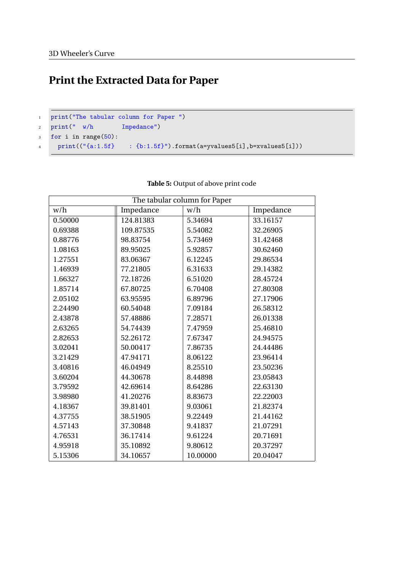# **Print the Extracted Data for Paper**

```
1 print("The tabular column for Paper ")
2 print(" w/h Impedance")
```
<sup>3</sup> for i in range(50):

 $\begin{tabular}{ll} \bf 4 & \tt print((\texttt{``}\{a:1.5f\} \qquad : \{b:1.5f\}\texttt{''}) . format(a= yvalues5[i],b= xvalues5[i])) \end{tabular}$ 

| The tabular column for Paper |                      |                  |          |  |  |  |
|------------------------------|----------------------|------------------|----------|--|--|--|
| w/h                          | Impedance            | w/h<br>Impedance |          |  |  |  |
| 0.50000                      | 124.81383<br>5.34694 |                  | 33.16157 |  |  |  |
| 0.69388                      | 109.87535            | 5.54082          | 32.26905 |  |  |  |
| 0.88776                      | 98.83754             | 5.73469          | 31.42468 |  |  |  |
| 1.08163                      | 89.95025             | 5.92857          | 30.62460 |  |  |  |
| 1.27551                      | 83.06367             | 6.12245          | 29.86534 |  |  |  |
| 1.46939                      | 77.21805             | 6.31633          | 29.14382 |  |  |  |
| 1.66327                      | 72.18726             | 6.51020          | 28.45724 |  |  |  |
| 1.85714                      | 67.80725             | 6.70408          | 27.80308 |  |  |  |
| 2.05102                      | 63.95595             | 6.89796          | 27.17906 |  |  |  |
| 2.24490                      | 60.54048             | 7.09184          | 26.58312 |  |  |  |
| 2.43878                      | 57.48886             | 7.28571          | 26.01338 |  |  |  |
| 2.63265                      | 54.74439             | 7.47959          | 25.46810 |  |  |  |
| 2.82653                      | 52.26172             | 7.67347          | 24.94575 |  |  |  |
| 3.02041                      | 50.00417             | 7.86735          | 24.44486 |  |  |  |
| 3.21429                      | 47.94171             | 8.06122          | 23.96414 |  |  |  |
| 3.40816                      | 46.04949             | 8.25510          | 23.50236 |  |  |  |
| 3.60204                      | 44.30678             | 8.44898          | 23.05843 |  |  |  |
| 3.79592                      | 42.69614             | 8.64286          | 22.63130 |  |  |  |
| 3.98980                      | 41.20276             | 8.83673          | 22.22003 |  |  |  |
| 4.18367                      | 39.81401             | 9.03061          | 21.82374 |  |  |  |
| 4.37755                      | 38.51905             | 9.22449          | 21.44162 |  |  |  |
| 4.57143                      | 37.30848             | 9.41837          | 21.07291 |  |  |  |
| 4.76531                      | 36.17414             | 9.61224          | 20.71691 |  |  |  |
| 4.95918                      | 35.10892             | 9.80612          | 20.37297 |  |  |  |
| 5.15306                      | 34.10657             | 10.00000         | 20.04047 |  |  |  |

#### **Table 5:** Output of above print code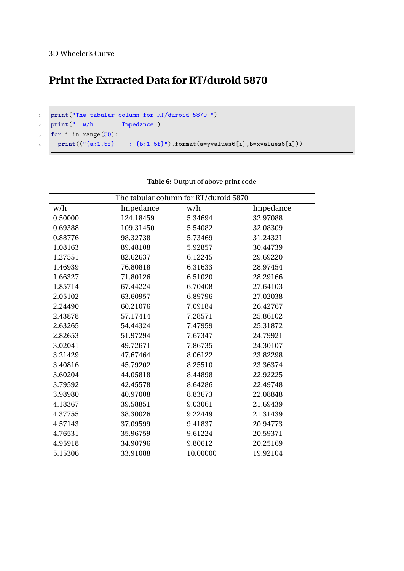# **Print the Extracted Data for RT/duroid 5870**

```
1 print("The tabular column for RT/duroid 5870")
2 print(" w/h Impedance")
3 for i in range(50):
4 print(("{a:1.5f} : {b:1.5f}").format(a=yvalues6[i],b=xvalues6[i]))
```

| The tabular column for RT/duroid 5870 |           |          |           |  |  |
|---------------------------------------|-----------|----------|-----------|--|--|
| w/h                                   | Impedance | w/h      | Impedance |  |  |
| 0.50000                               | 124.18459 | 5.34694  | 32.97088  |  |  |
| 0.69388                               | 109.31450 | 5.54082  | 32.08309  |  |  |
| 0.88776                               | 98.32738  | 5.73469  | 31.24321  |  |  |
| 1.08163                               | 89.48108  | 5.92857  | 30.44739  |  |  |
| 1.27551                               | 82.62637  | 6.12245  | 29.69220  |  |  |
| 1.46939                               | 76.80818  | 6.31633  | 28.97454  |  |  |
| 1.66327                               | 71.80126  | 6.51020  | 28.29166  |  |  |
| 1.85714                               | 67.44224  | 6.70408  | 27.64103  |  |  |
| 2.05102                               | 63.60957  | 6.89796  | 27.02038  |  |  |
| 2.24490                               | 60.21076  | 7.09184  | 26.42767  |  |  |
| 2.43878                               | 57.17414  | 7.28571  | 25.86102  |  |  |
| 2.63265                               | 54.44324  | 7.47959  | 25.31872  |  |  |
| 2.82653                               | 51.97294  | 7.67347  | 24.79921  |  |  |
| 3.02041                               | 49.72671  | 7.86735  | 24.30107  |  |  |
| 3.21429                               | 47.67464  | 8.06122  | 23.82298  |  |  |
| 3.40816                               | 45.79202  | 8.25510  | 23.36374  |  |  |
| 3.60204                               | 44.05818  | 8.44898  | 22.92225  |  |  |
| 3.79592                               | 42.45578  | 8.64286  | 22.49748  |  |  |
| 3.98980                               | 40.97008  | 8.83673  | 22.08848  |  |  |
| 4.18367                               | 39.58851  | 9.03061  | 21.69439  |  |  |
| 4.37755                               | 38.30026  | 9.22449  | 21.31439  |  |  |
| 4.57143                               | 37.09599  | 9.41837  | 20.94773  |  |  |
| 4.76531                               | 35.96759  | 9.61224  | 20.59371  |  |  |
| 4.95918                               | 34.90796  | 9.80612  | 20.25169  |  |  |
| 5.15306                               | 33.91088  | 10.00000 | 19.92104  |  |  |

#### **Table 6:** Output of above print code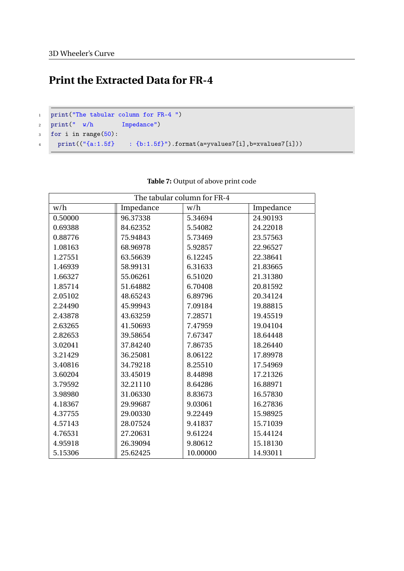# **Print the Extracted Data for FR-4**

```
1 print("The tabular column for FR-4 ")
```

```
2 print(" w/h Impedance")
```

```
3 for i in range(50):
```

```
4 print(("{a:1.5f} : {b:1.5f}").format(a=yvalues7[i],b=xvalues7[i]))
```

| The tabular column for FR-4 |           |          |           |  |
|-----------------------------|-----------|----------|-----------|--|
| w/h                         | Impedance | w/h      | Impedance |  |
| 0.50000                     | 96.37338  | 5.34694  | 24.90193  |  |
| 0.69388                     | 84.62352  | 5.54082  | 24.22018  |  |
| 0.88776                     | 75.94843  | 5.73469  | 23.57563  |  |
| 1.08163                     | 68.96978  | 5.92857  | 22.96527  |  |
| 1.27551                     | 63.56639  | 6.12245  | 22.38641  |  |
| 1.46939                     | 58.99131  | 6.31633  | 21.83665  |  |
| 1.66327                     | 55.06261  | 6.51020  | 21.31380  |  |
| 1.85714                     | 51.64882  | 6.70408  | 20.81592  |  |
| 2.05102                     | 48.65243  | 6.89796  | 20.34124  |  |
| 2.24490                     | 45.99943  | 7.09184  | 19.88815  |  |
| 2.43878                     | 43.63259  | 7.28571  | 19.45519  |  |
| 2.63265                     | 41.50693  | 7.47959  | 19.04104  |  |
| 2.82653                     | 39.58654  | 7.67347  | 18.64448  |  |
| 3.02041                     | 37.84240  | 7.86735  | 18.26440  |  |
| 3.21429                     | 36.25081  | 8.06122  | 17.89978  |  |
| 3.40816                     | 34.79218  | 8.25510  | 17.54969  |  |
| 3.60204                     | 33.45019  | 8.44898  | 17.21326  |  |
| 3.79592                     | 32.21110  | 8.64286  | 16.88971  |  |
| 3.98980                     | 31.06330  | 8.83673  | 16.57830  |  |
| 4.18367                     | 29.99687  | 9.03061  | 16.27836  |  |
| 4.37755                     | 29.00330  | 9.22449  | 15.98925  |  |
| 4.57143                     | 28.07524  | 9.41837  | 15.71039  |  |
| 4.76531                     | 27.20631  | 9.61224  | 15.44124  |  |
| 4.95918                     | 26.39094  | 9.80612  | 15.18130  |  |
| 5.15306                     | 25.62425  | 10.00000 | 14.93011  |  |

#### **Table 7:** Output of above print code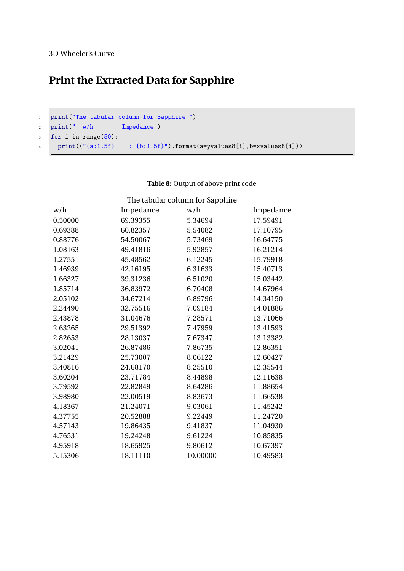# **Print the Extracted Data for Sapphire**

```
1 print("The tabular column for Sapphire ")
2 print(" w/h Impedance")
3 for i in range(50):
\begin{tabular}{ll} \bf 4 & \tt print((``\{a:1.5f\} & \tt : \{b:1.5f\}''.format(a=yvalues8[i],b=xxalues8[i])) \end{tabular}
```

| The tabular column for Sapphire |                     |          |           |  |
|---------------------------------|---------------------|----------|-----------|--|
| w/h                             | Impedance           | w/h      | Impedance |  |
| 0.50000                         | 69.39355<br>5.34694 |          | 17.59491  |  |
| 0.69388                         | 60.82357            | 5.54082  | 17.10795  |  |
| 0.88776                         | 54.50067            | 5.73469  | 16.64775  |  |
| 1.08163                         | 49.41816            | 5.92857  | 16.21214  |  |
| 1.27551                         | 45.48562            | 6.12245  | 15.79918  |  |
| 1.46939                         | 42.16195            | 6.31633  | 15.40713  |  |
| 1.66327                         | 39.31236            | 6.51020  | 15.03442  |  |
| 1.85714                         | 36.83972            | 6.70408  | 14.67964  |  |
| 2.05102                         | 34.67214            | 6.89796  | 14.34150  |  |
| 2.24490                         | 32.75516            | 7.09184  | 14.01886  |  |
| 2.43878                         | 31.04676            | 7.28571  | 13.71066  |  |
| 2.63265                         | 29.51392            | 7.47959  | 13.41593  |  |
| 2.82653                         | 28.13037            | 7.67347  | 13.13382  |  |
| 3.02041                         | 26.87486            | 7.86735  | 12.86351  |  |
| 3.21429                         | 25.73007            | 8.06122  | 12.60427  |  |
| 3.40816                         | 24.68170            | 8.25510  | 12.35544  |  |
| 3.60204                         | 23.71784            | 8.44898  | 12.11638  |  |
| 3.79592                         | 22.82849            | 8.64286  | 11.88654  |  |
| 3.98980                         | 22.00519            | 8.83673  | 11.66538  |  |
| 4.18367                         | 21.24071            | 9.03061  | 11.45242  |  |
| 4.37755                         | 20.52888            | 9.22449  | 11.24720  |  |
| 4.57143                         | 19.86435            | 9.41837  | 11.04930  |  |
| 4.76531                         | 19.24248            | 9.61224  | 10.85835  |  |
| 4.95918                         | 18.65925            | 9.80612  | 10.67397  |  |
| 5.15306                         | 18.11110            | 10.00000 | 10.49583  |  |

#### **Table 8:** Output of above print code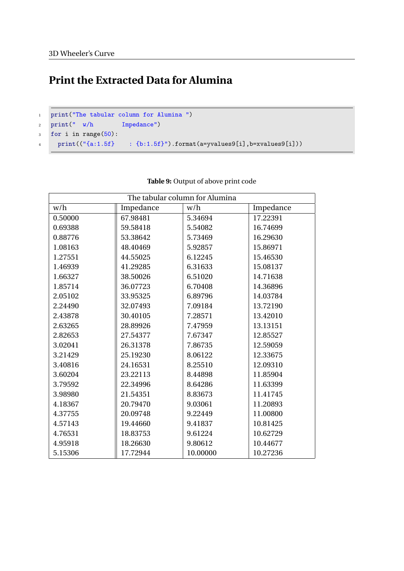# **Print the Extracted Data for Alumina**

```
1 print("The tabular column for Alumina ")
```

```
2 print(" w/h Impedance")
```

```
3 for i in range(50):
```
<sup>4</sup> print(("{a:1.5f} : {b:1.5f}").format(a=yvalues9[i],b=xvalues9[i]))

| The tabular column for Alumina |           |          |           |  |
|--------------------------------|-----------|----------|-----------|--|
| w/h                            | Impedance | w/h      | Impedance |  |
| 0.50000                        | 67.98481  | 5.34694  | 17.22391  |  |
| 0.69388                        | 59.58418  | 5.54082  | 16.74699  |  |
| 0.88776                        | 53.38642  | 5.73469  | 16.29630  |  |
| 1.08163                        | 48.40469  | 5.92857  | 15.86971  |  |
| 1.27551                        | 44.55025  | 6.12245  | 15.46530  |  |
| 1.46939                        | 41.29285  | 6.31633  | 15.08137  |  |
| 1.66327                        | 38.50026  | 6.51020  | 14.71638  |  |
| 1.85714                        | 36.07723  | 6.70408  | 14.36896  |  |
| 2.05102                        | 33.95325  | 6.89796  | 14.03784  |  |
| 2.24490                        | 32.07493  | 7.09184  | 13.72190  |  |
| 2.43878                        | 30.40105  | 7.28571  | 13.42010  |  |
| 2.63265                        | 28.89926  | 7.47959  | 13.13151  |  |
| 2.82653                        | 27.54377  | 7.67347  | 12.85527  |  |
| 3.02041                        | 26.31378  | 7.86735  | 12.59059  |  |
| 3.21429                        | 25.19230  | 8.06122  | 12.33675  |  |
| 3.40816                        | 24.16531  | 8.25510  | 12.09310  |  |
| 3.60204                        | 23.22113  | 8.44898  | 11.85904  |  |
| 3.79592                        | 22.34996  | 8.64286  | 11.63399  |  |
| 3.98980                        | 21.54351  | 8.83673  | 11.41745  |  |
| 4.18367                        | 20.79470  | 9.03061  | 11.20893  |  |
| 4.37755                        | 20.09748  | 9.22449  | 11.00800  |  |
| 4.57143                        | 19.44660  | 9.41837  | 10.81425  |  |
| 4.76531                        | 18.83753  | 9.61224  | 10.62729  |  |
| 4.95918                        | 18.26630  | 9.80612  | 10.44677  |  |
| 5.15306                        | 17.72944  | 10.00000 | 10.27236  |  |

#### **Table 9:** Output of above print code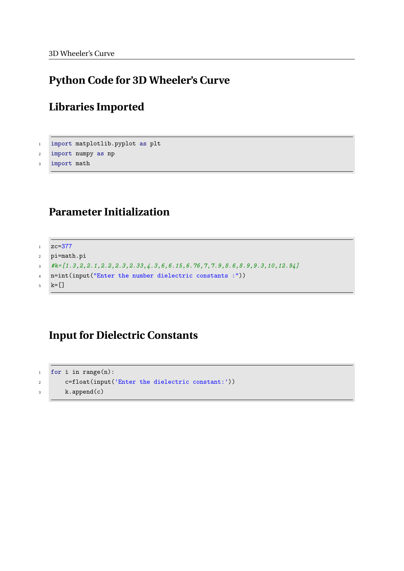### **Python Code for 3D Wheeler's Curve**

### **Libraries Imported**

```
1 import matplotlib.pyplot as plt
2 import numpy as np
```

```
3 import math
```
### **Parameter Initialization**

```
1 \quad zc = 3772 pi=math.pi
3 #k=[1.3,2,2.1,2.2,2.3,2.33,4.3,6,6.15,6.76,7,7.9,8.6,8.9,9.3,10,12.94]
```
- <sup>4</sup> n=int(input("Enter the number dielectric constants :"))
- $5 \text{ } k=\begin{bmatrix} \end{bmatrix}$

### **Input for Dielectric Constants**

```
1 for i in range(n):
2 c=float(input('Enter the dielectric constant:'))
3 k.append(c)
```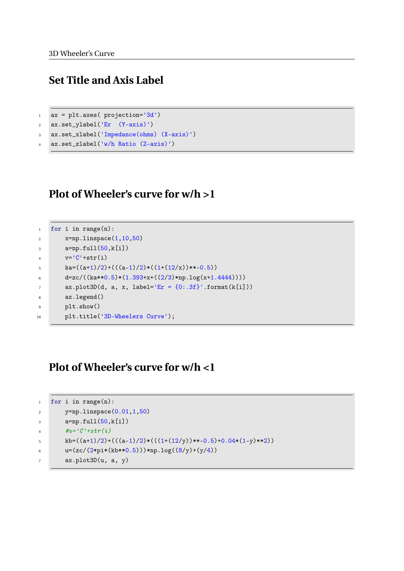### **Set Title and Axis Label**

```
1 ax = plt.axes( projection='3d')
```

```
2 ax.set_ylabel('Er (Y-axis)')
```

```
3 ax.set_xlabel('Impedance(ohms) (X-axis)')
```

```
4 ax.set_zlabel('w/h Ratio (Z-axis)')
```
### **Plot of Wheeler's curve for w/h >1**

```
1 for i in range(n):
2 x=np.linspace(1,10,50)
3 a=np.full(50,k[i])
4 v=C'+str(i)5 ka=((a+1)/2)+(((a-1)/2)*((1+(12/x))**-0.5))6 d=zc/((ka**0.5)*(1.393+x+((2/3)*np.log(x+1.4444))))
7 \quad \text{ax.plot3D(d, a, x, label='Er = {0:.3f}.format(k[i]))}8 ax.legend()
9 plt.show()
10 plt.title('3D-Wheelers Curve');
```
### **Plot of Wheeler's curve for w/h <1**

```
1 for i in range(n):
2 y=np.linspace(0.01,1,50)
3 a=np.full(50,k[i])
4 \#v = 'C' + str(i)5 kb=((a+1)/2)+(((a-1)/2)*(((1+(12/y))**-0.5)+0.04*(1-y)**2))
6 u=(zc/(2*pi*(kb**0.5))) * np.log((8/y)+(y/4))7 ax.plot3D(u, a, y)
```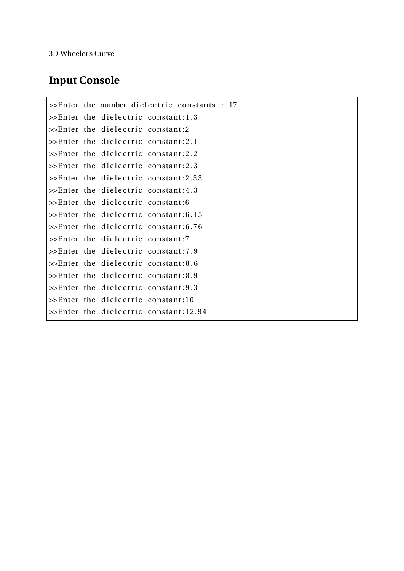### **Input Console**

```
\geEnter the number dielectric constants : 17
\geEnter the dielectric constant:1.3
\geEnter the dielectric constant:2
\ggEnter the dielectric constant: 2.1
\geEnter the dielectric constant: 2.2
\geEnter the dielectric constant: 2.3
\geEnter the dielectric constant: 2.33
\geEnter the dielectric constant: 4.3
\ggEnter the dielectric constant:6
\geEnter the dielectric constant: 6.15
\geEnter the dielectric constant: 6.76
\geEnter the dielectric constant:7
\geEnter the dielectric constant: 7.9
\ggEnter the dielectric constant:8.6
\geEnter the dielectric constant:8.9
\geEnter the dielectric constant: 9.3
\ggEnter the dielectric constant:10
\geEnter the dielectric constant:12.94
```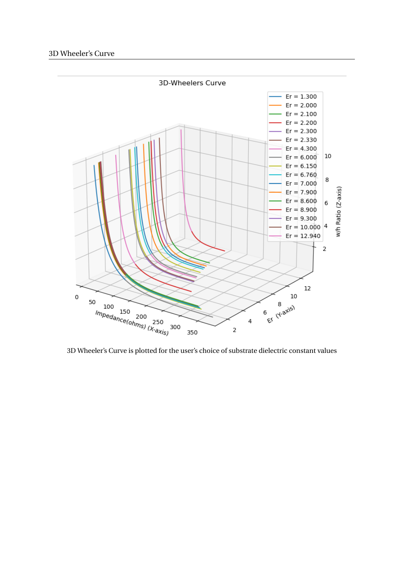

3D Wheeler's Curve is plotted for the user's choice of substrate dielectric constant values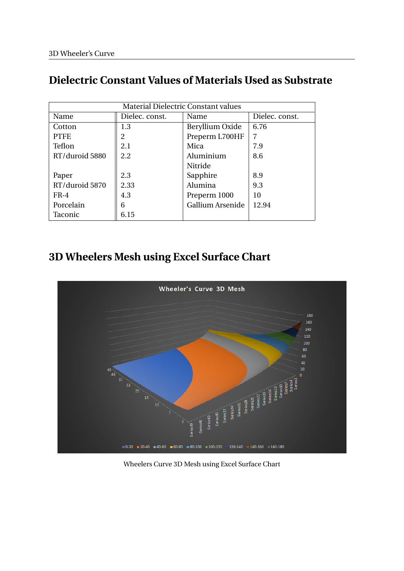# **Dielectric Constant Values of Materials Used as Substrate**

| <b>Material Dielectric Constant values</b> |                |                  |                |  |  |
|--------------------------------------------|----------------|------------------|----------------|--|--|
| Name                                       | Dielec. const. | Name             | Dielec. const. |  |  |
| Cotton                                     | 1.3            | Beryllium Oxide  | 6.76           |  |  |
| <b>PTFE</b>                                | 2              | Preperm L700HF   | 7              |  |  |
| Teflon                                     | 2.1            | Mica             | 7.9            |  |  |
| RT/duroid 5880                             | 2.2            | Aluminium        | 8.6            |  |  |
|                                            |                | Nitride          |                |  |  |
| Paper                                      | 2.3            | Sapphire         | 8.9            |  |  |
| RT/duroid 5870                             | 2.33           | Alumina          | 9.3            |  |  |
| $FR-4$                                     | 4.3            | Preperm 1000     | 10             |  |  |
| Porcelain                                  | 6              | Gallium Arsenide | 12.94          |  |  |
| Taconic                                    | 6.15           |                  |                |  |  |

# **3D Wheelers Mesh using Excel Surface Chart**



Wheelers Curve 3D Mesh using Excel Surface Chart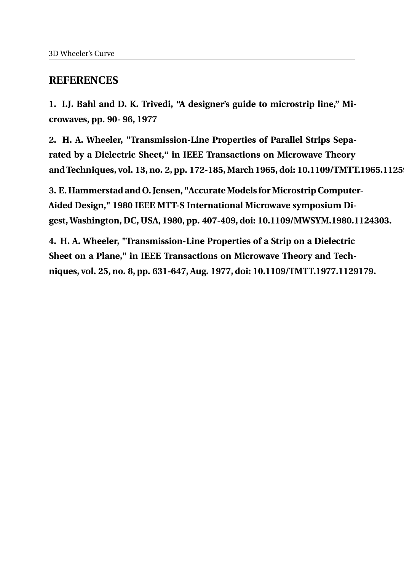### **REFERENCES**

**1. I.J. Bahl and D. K. Trivedi, "A designer's guide to microstrip line," Microwaves, pp. 90- 96, 1977**

**2. H. A. Wheeler, "Transmission-Line Properties of Parallel Strips Separated by a Dielectric Sheet," in IEEE Transactions on Microwave Theory** and Techniques, vol. 13, no. 2, pp. 172-185, March 1965, doi: 10.1109/TMTT.1965.1125

**3. E. Hammerstad and O. Jensen, "Accurate Models for Microstrip Computer-Aided Design," 1980 IEEE MTT-S International Microwave symposium Digest, Washington, DC, USA, 1980, pp. 407-409, doi: 10.1109/MWSYM.1980.1124303.**

**4. H. A. Wheeler, "Transmission-Line Properties of a Strip on a Dielectric Sheet on a Plane," in IEEE Transactions on Microwave Theory and Techniques, vol. 25, no. 8, pp. 631-647, Aug. 1977, doi: 10.1109/TMTT.1977.1129179.**